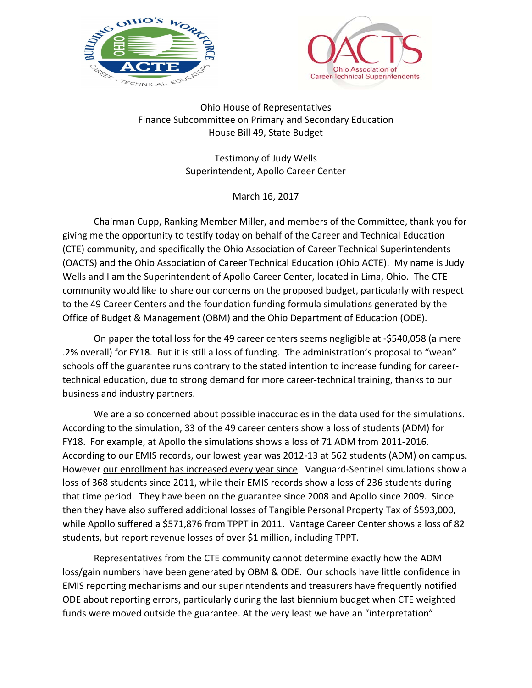



Ohio House of Representatives Finance Subcommittee on Primary and Secondary Education House Bill 49, State Budget

> Testimony of Judy Wells Superintendent, Apollo Career Center

> > March 16, 2017

 Chairman Cupp, Ranking Member Miller, and members of the Committee, thank you for giving me the opportunity to testify today on behalf of the Career and Technical Education (CTE) community, and specifically the Ohio Association of Career Technical Superintendents (OACTS) and the Ohio Association of Career Technical Education (Ohio ACTE). My name is Judy Wells and I am the Superintendent of Apollo Career Center, located in Lima, Ohio. The CTE community would like to share our concerns on the proposed budget, particularly with respect to the 49 Career Centers and the foundation funding formula simulations generated by the Office of Budget & Management (OBM) and the Ohio Department of Education (ODE).

 On paper the total loss for the 49 career centers seems negligible at -\$540,058 (a mere .2% overall) for FY18. But it is still a loss of funding. The administration's proposal to "wean" schools off the guarantee runs contrary to the stated intention to increase funding for careertechnical education, due to strong demand for more career-technical training, thanks to our business and industry partners.

 We are also concerned about possible inaccuracies in the data used for the simulations. According to the simulation, 33 of the 49 career centers show a loss of students (ADM) for FY18. For example, at Apollo the simulations shows a loss of 71 ADM from 2011-2016. According to our EMIS records, our lowest year was 2012-13 at 562 students (ADM) on campus. However our enrollment has increased every year since. Vanguard-Sentinel simulations show a loss of 368 students since 2011, while their EMIS records show a loss of 236 students during that time period. They have been on the guarantee since 2008 and Apollo since 2009. Since then they have also suffered additional losses of Tangible Personal Property Tax of \$593,000, while Apollo suffered a \$571,876 from TPPT in 2011. Vantage Career Center shows a loss of 82 students, but report revenue losses of over \$1 million, including TPPT.

 Representatives from the CTE community cannot determine exactly how the ADM loss/gain numbers have been generated by OBM & ODE. Our schools have little confidence in EMIS reporting mechanisms and our superintendents and treasurers have frequently notified ODE about reporting errors, particularly during the last biennium budget when CTE weighted funds were moved outside the guarantee. At the very least we have an "interpretation"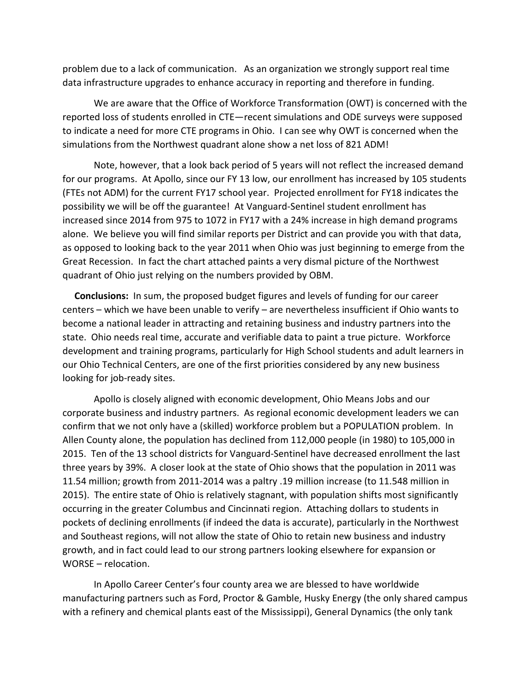problem due to a lack of communication. As an organization we strongly support real time data infrastructure upgrades to enhance accuracy in reporting and therefore in funding.

 We are aware that the Office of Workforce Transformation (OWT) is concerned with the reported loss of students enrolled in CTE—recent simulations and ODE surveys were supposed to indicate a need for more CTE programs in Ohio. I can see why OWT is concerned when the simulations from the Northwest quadrant alone show a net loss of 821 ADM!

 Note, however, that a look back period of 5 years will not reflect the increased demand for our programs. At Apollo, since our FY 13 low, our enrollment has increased by 105 students (FTEs not ADM) for the current FY17 school year. Projected enrollment for FY18 indicates the possibility we will be off the guarantee! At Vanguard-Sentinel student enrollment has increased since 2014 from 975 to 1072 in FY17 with a 24% increase in high demand programs alone. We believe you will find similar reports per District and can provide you with that data, as opposed to looking back to the year 2011 when Ohio was just beginning to emerge from the Great Recession. In fact the chart attached paints a very dismal picture of the Northwest quadrant of Ohio just relying on the numbers provided by OBM.

 **Conclusions:** In sum, the proposed budget figures and levels of funding for our career centers – which we have been unable to verify – are nevertheless insufficient if Ohio wants to become a national leader in attracting and retaining business and industry partners into the state. Ohio needs real time, accurate and verifiable data to paint a true picture. Workforce development and training programs, particularly for High School students and adult learners in our Ohio Technical Centers, are one of the first priorities considered by any new business looking for job-ready sites.

 Apollo is closely aligned with economic development, Ohio Means Jobs and our corporate business and industry partners. As regional economic development leaders we can confirm that we not only have a (skilled) workforce problem but a POPULATION problem. In Allen County alone, the population has declined from 112,000 people (in 1980) to 105,000 in 2015. Ten of the 13 school districts for Vanguard-Sentinel have decreased enrollment the last three years by 39%. A closer look at the state of Ohio shows that the population in 2011 was 11.54 million; growth from 2011-2014 was a paltry .19 million increase (to 11.548 million in 2015). The entire state of Ohio is relatively stagnant, with population shifts most significantly occurring in the greater Columbus and Cincinnati region. Attaching dollars to students in pockets of declining enrollments (if indeed the data is accurate), particularly in the Northwest and Southeast regions, will not allow the state of Ohio to retain new business and industry growth, and in fact could lead to our strong partners looking elsewhere for expansion or WORSE – relocation.

 In Apollo Career Center's four county area we are blessed to have worldwide manufacturing partners such as Ford, Proctor & Gamble, Husky Energy (the only shared campus with a refinery and chemical plants east of the Mississippi), General Dynamics (the only tank